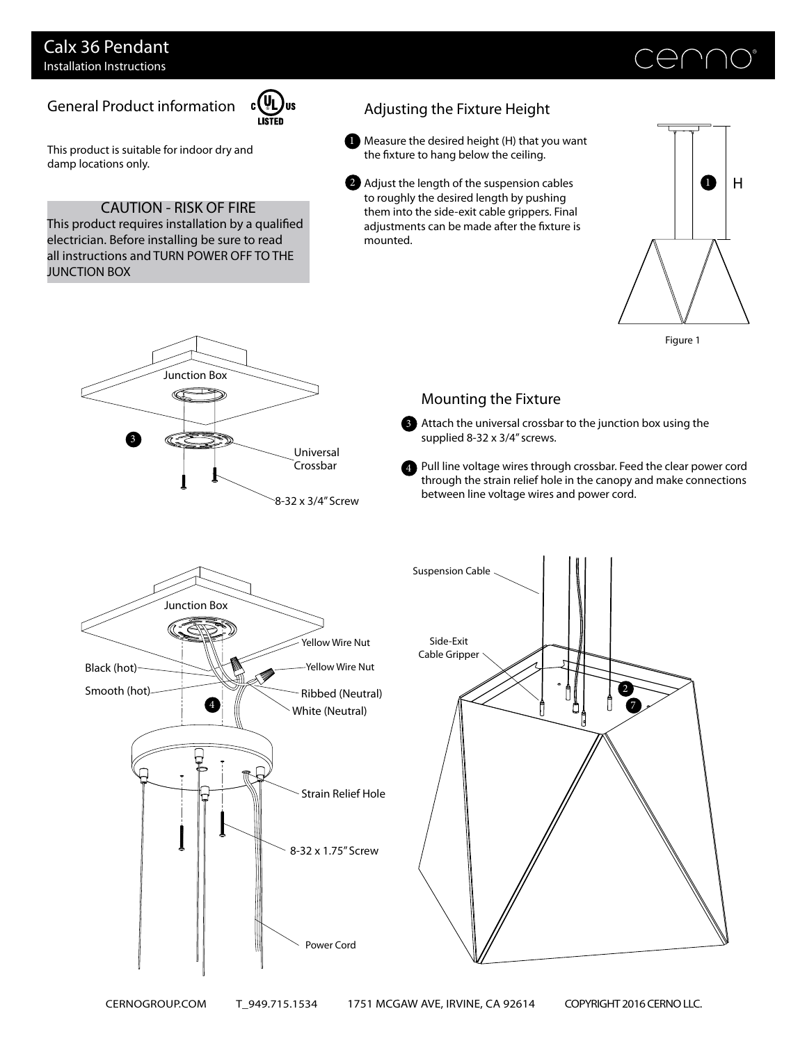## Calx 36 Pendant Installation Instructions

# General Product information



This product is suitable for indoor dry and damp locations only.

### CAUTION - RISK OF FIRE

This product requires installation by a qualified electrician. Before installing be sure to read all instructions and TURN POWER OFF TO THE JUNCTION BOX

Junction Box

3

# Adjusting the Fixture Height

- Measure the desired height (H) that you want 1 the fixture to hang below the ceiling.
- 2 Adjust the length of the suspension cables to roughly the desired length by pushing them into the side-exit cable grippers. Final adjustments can be made after the fixture is mounted.





#### Mounting the Fixture

- Attach the universal crossbar to the junction box using the 3 supplied 8-32 x 3/4" screws.
- 4 Pull line voltage wires through crossbar. Feed the clear power cord through the strain relief hole in the canopy and make connections between line voltage wires and power cord.



Universal Crossbar

8-32 x 3/4" Screw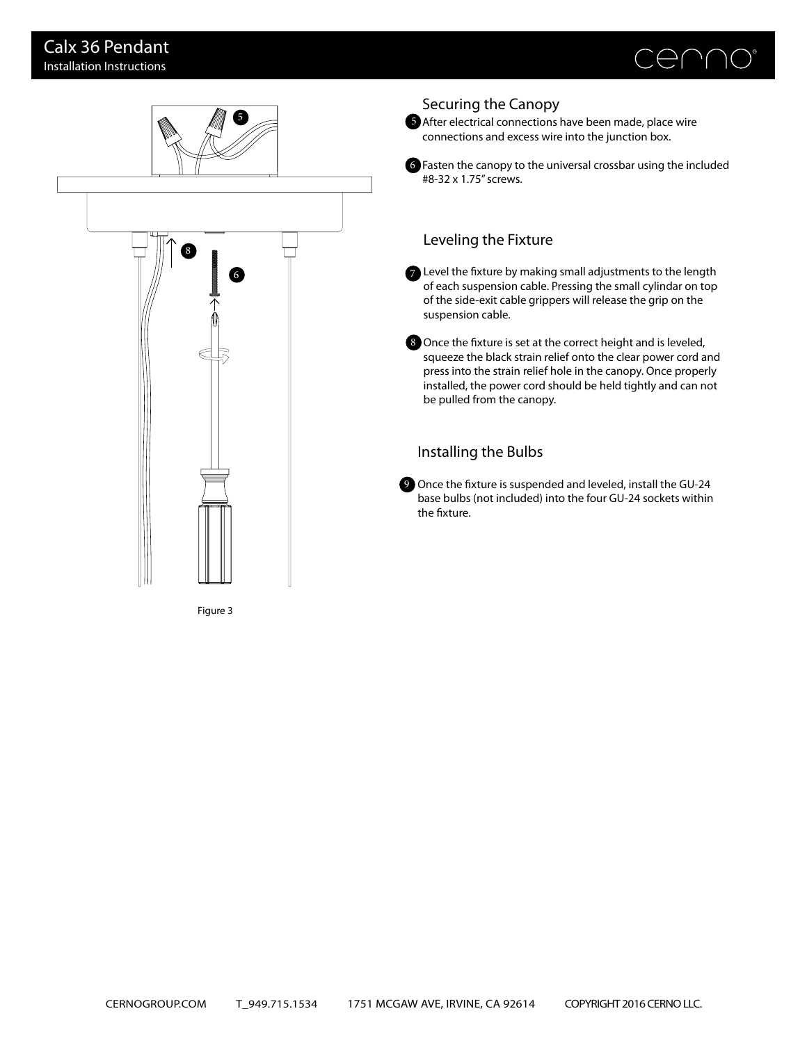



#### Securing the Canopy

5 After electrical connections have been made, place wire connections and excess wire into the junction box.

Fasten the canopy to the universal crossbar using the included 6

7 Level the fixture by making small adjustments to the length of each suspension cable. Pressing the small cylindar on top of the side-exit cable grippers will release the grip on the

8 Once the fixture is set at the correct height and is leveled, squeeze the black strain relief onto the clear power cord and press into the strain relief hole in the canopy. Once properly installed, the power cord should be held tightly and can not

9 Once the fixture is suspended and leveled, install the GU-24 base bulbs (not included) into the four GU-24 sockets within